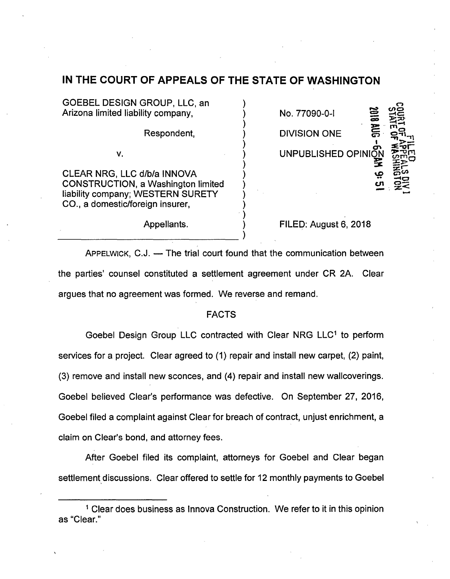## IN THE COURT OF APPEALS OF THE STATE OF WASHINGTON

 $\lambda$ 

 $\int$ 

 $\frac{1}{2}$ 

 $\sum_{i=1}^{n}$ 

 $\lambda$ 

GOEBEL DESIGN GROUP, LLC, an ) Arizona limited liability company, )

Respondent, )

v.  $\bigg\{\begin{matrix} \cdot & \cdot & \cdot \\ \cdot & \cdot & \cdot \\ \cdot & \cdot & \cdot \end{matrix}\bigg\}$ 

CLEAR NRG, LLC d/b/a INNOVA ) CONSTRUCTION, a Washington limited ) liability company; WESTERN SURETY CO., a domestic/foreign insurer,

Appellants. )

No. 77090-0-I  $\mathbf{m} \cdot \overline{\mathbf{m}}$ DIVISION ONE  $\mathbf{z}$ UNPUBLISHED OPIN  $\tilde{\mathbf{z}}$  $\Xi$   $\Xi$  $z<$ 

FILED: August 6, 2018

APPELWICK, C.J. — The trial court found that the communication between the parties' counsel constituted a settlement agreement under CR 2A. Clear argues that no agreement was formed. We reverse and remand.

## FACTS

Goebel Design Group LLC contracted with Clear NRG LLC1 to perform services for a project. Clear agreed to (1) repair and install new carpet, (2) paint, (3) remove and install new sconces, and (4) repair and install new wallcoverings. Goebel believed Clear's performance was defective. On September 27, 2016, Goebel filed a complaint against Clear for breach of contract, unjust enrichment, a claim on Clear's bond, and attorney fees.

After Goebel filed its complaint, attorneys for Goebel and Clear began settlement discussions. Clear offered to settle for 12 monthly payments to Goebel

<sup>&</sup>lt;sup>1</sup> Clear does business as Innova Construction. We refer to it in this opinion as "Clear."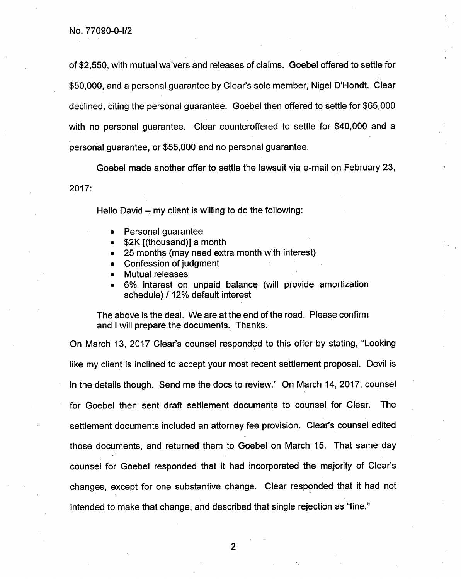of \$2,550, with mutual waivers and releases of claims. Goebel offered to settle for \$50,000, and a personal guarantee by Clear's sole member, Nigel D'Hondt. Clear declined, citing the personal guarantee. Goebel then offered to settle for \$65,000 with no personal guarantee. Clear counteroffered to settle for \$40,000 and a personal guarantee, or \$55,000 and no personal guarantee.

Goebel made another offer to settle the lawsuit via e-mail on February 23, 2017:

Hello David — my client is willing to do the following:

- Personal guarantee
- \$2K ((thousand)] a month
- 25 months (may need extra month with interest)
- Confession of judgment
- **Mutual releases**
- 6% interest on unpaid balance (will provide amortization schedule) / 12% default interest

The above is the deal. We are at the end of the road. Please confirm and 1 will prepare the documents. Thanks.

On March 13, 2017 Clear's counsel responded to this offer by stating, "Looking like my client is inclined to accept your most recent settlement proposal. Devil is in the details though. Send me the docs to review." On March 14, 2017, counsel for Goebel then sent draft settlement documents to counsel for Clear. The settlement documents included an attorney fee provision. Clear's counsel edited those documents, and returned them to Goebel on March 15. That same day counsel for Goebel responded that it had incorporated the majority of Clear's changes, except for one substantive change. Clear responded that it had not intended to make that change, and described that single rejection as "fine."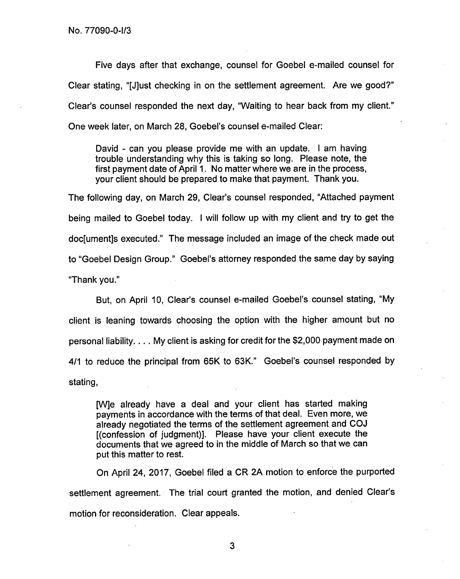Five days after that exchange, counsel for Goebel e-mailed counsel for Clear stating, "[J]ust checking in on the settlement agreement. Are we good?" Clear's counsel responded the next day, "Waiting to hear back from my client." One week later, on March 28, Goebel's counsel e-mailed Clear:

David - can you please provide me with an update. I am having trouble understanding why this is taking so long. Please note, the first payment date of April 1. No matter where we are in the process, your client should be prepared to make that payment. Thank you.

The following day, on March 29, Clear's counsel responded, "Attached payment being mailed to Goebel today. I will follow up with my client and try to get the doc[ument]s executed." The message included an image of the check made out to "Goebel Design Group." Goebel's attorney responded the same day by saying "Thank you."

But, on April 10, Clear's counsel e-mailed Goebel's counsel stating, "My client is leaning towards choosing the option with the higher amount but no personal liability. . . . My client is asking for credit for the \$2,000 payment made on 4/1 to reduce the principal from 65K to 63K." Goebel's counsel responded by stating,

[W]e already have a deal and your client has started making payments in accordance with the terms of that deal. Even more, we already negotiated the terms of the settlement agreement and COJ [(confession of judgment)]. Please have your client execute the documents that we agreed to in the middle of March so that we can put this matter to rest.

On April 24, 2017, Goebel filed a CR 2A motion to enforce the purported settlement agreement. The trial court granted the motion, and denied Clear's motion for reconsideration. Clear appeals.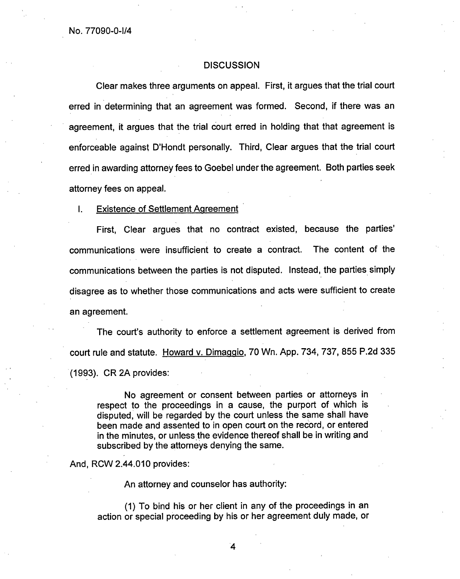## **DISCUSSION**

Clear makes three arguments on appeal. First, it argues that the trial court erred in determining that an agreement was formed. Second, if there was an agreement, it argues that the trial court erred in holding that that agreement is enforceable against D'Hondt personally. Third, Clear argues that the trial court erred in awarding attorney fees to Goebel under the agreement. Both parties seek attorney fees on appeal.

## I. Existence of Settlement Agreement

First, Clear argues that no contract existed, because the parties' communications were insufficient to create a contract. The content of the communications between the parties is not disputed. Instead, the parties simply disagree as to whether those communications and acts were sufficient to create an agreement.

The court's authority to enforce a settlement agreement is derived from court rule and statute. Howard v. Dimaggio,70 Wn. App. 734, 737, 855 P.2d 335 (1993). CR 2A provides:

No agreement or consent between parties or attorneys in respect to the proceedings in a cause, the purport of which is disputed, will be regarded by the court unless the same shall have been made and assented to in open court on the record, or entered in the minutes, or unless the evidence thereof shall be in writing and subscribed by the attorneys denying the same.

And, RCW 2.44.010 provides:

An attorney and counselor has authority:

(1) To bind his or her client in any of the proceedings in an action or special proceeding by his or her agreement duly made, or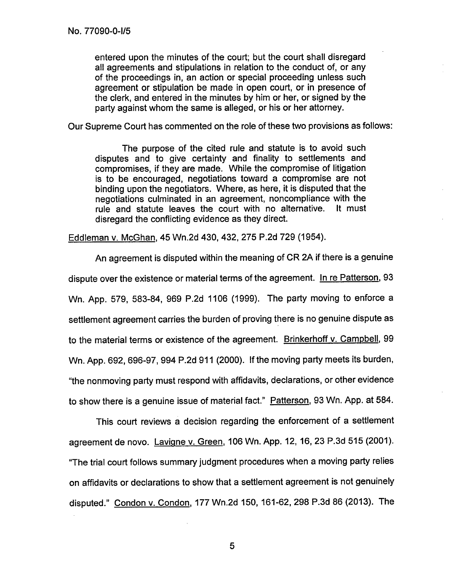entered upon the minutes of the court; but the court shall disregard all agreements and stipulations in relation to the conduct of, or any of the proceedings in, an action or special proceeding unless such agreement or stipulation be made in open court, or in presence of the clerk, and entered in the minutes by him or her, or signed by the party against whom the same is alleged, or his or her attorney.

Our Supreme Court has commented on the role of these two provisions as follows:

The purpose of the cited rule and statute is to avoid such disputes and to give certainty and finality to settlements and compromises, if they are made. While the compromise of litigation is to be encouraged, negotiations toward a compromise are not binding upon the negotiators. Where, as here, it is disputed that the negotiations culminated in an agreement, noncompliance with the rule and statute leaves the court with no alternative. It must disregard the conflicting evidence as they direct.

Eddleman v. McGhan,45 Wn.2d 430, 432, 275 P.2d 729 (1954).

An agreement is disputed within the meaning of CR 2A if there is a genuine dispute over the existence or material terms of the agreement. In re Patterson, 93 Wn. App. 579, 583-84, 969 P.2d 1106 (1999). The party moving to enforce a settlement agreement carries the burden of proving there is no genuine dispute as to the material terms or existence of the agreement. Brinkerhoff v. Campbell, 99 Wn. App. 692, 696-97, 994 P.2d 911 (2000). If the moving party meets its burden, "the nonmoving party must respond with affidavits, declarations, or other evidence to show there is a genuine issue of material fact." Patterson,93 Wn. App. at 584.

This court reviews a decision regarding the enforcement of a settlement agreement de novo. Lavigne v. Green, 106 Wn. App. 12, 16, 23 P.3d 515 (2001). "The trial court follows summary judgment procedures when a moving party relies on affidavits or declarations to show that a settlement agreement is not genuinely disputed." Condon v. Condon,177 Wn.2d 150, 161-62, 298 P.3d 86 (2013). The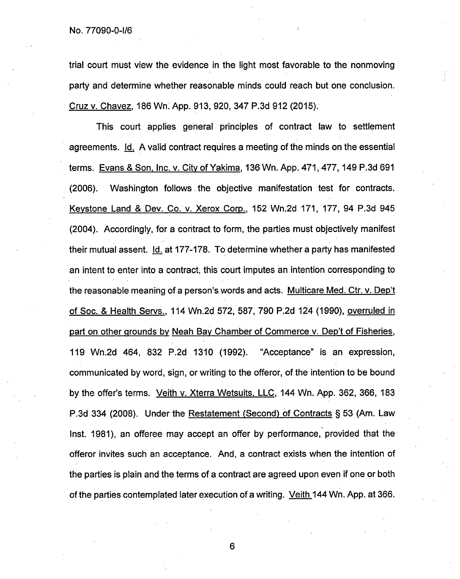trial court must view the evidence in the light most favorable to the nonmoving party and determine whether reasonable minds could reach but one conclusion. Cruz v. Chavez,186 Wn. App. 913, 920, 347 P.3d 912 (2015).

This court applies general principles of contract law to settlement agreements. Id. A valid contract requires a meeting of the minds on the essential terms. Evans & Son, Inc. v. City of Yakima,136 Wn. App. 471, 477, 149 P.3d 691 (2006). Washington follows the objective manifestation test for contracts. Keystone Land & Dev. Co. v. Xerox Corp., 152 Wn.2d 171, 177, 94 P.3d 945 (2004). Accordingly, for a contract to form, the parties must objectively manifest their mutual assent. Id. at 177-178. To determine whether a party has manifested an intent to enter into a contract, this court imputes an intention corresponding to the reasonable meaning of a person's words and acts. Multicare Med. Ctr. v. Dep't of Soc. & Health Servs., 114 Wn.2d 572, 587, 790 P.2d 124 (1990), overruled in part on other grounds by Neah Bay Chamber of Commerce v. Dep't of Fisheries, 119 Wn.2d 464, 832 P.2d 1310 (1992). "Acceptance" is an expression, communicated by word, sign, or writing to the offeror, of the intention to be bound by the offer's terms. Veith v. Xterra Wetsuits, LLC, 144 Wn. App. 362, 366, 183 P.3d 334 (2008). Under the Restatement (Second) of Contracts § 53 (Am. Law Inst. 1981), an offeree may accept an offer by performance, provided that the offeror invites such an acceptance. And, a contract exists when the intention of the parties is plain and the terms of a contract are agreed upon even if one or both of the parties contemplated later execution of a writing. Veith 144 Wn. App. at 366.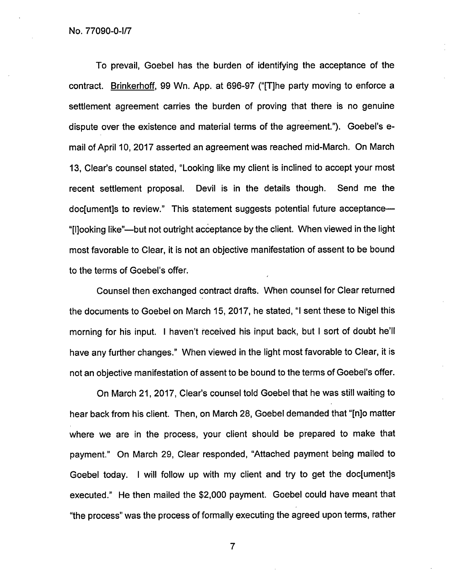To prevail, Goebel has the burden of identifying the acceptance of the contract. Brinkerhoff, 99 Wn. App. at 696-97 ("[T]he party moving to enforce a settlement agreement carries the burden of proving that there is no genuine dispute over the existence and material terms of the agreement."). Goebel's email of April 10, 2017 asserted an agreement was reached mid-March. On March 13, Clear's counsel stated, "Looking like my client is inclined to accept your most recent settlement proposal. Devil is in the details though. Send me the doc[ument]s to review." This statement suggests potential future acceptance— "[l]ooking like"—but not outright acceptance by the client. When viewed in the light most favorable to Clear, it is not an objective manifestation of assent to be bound to the terms of Goebel's offer.

Counsel then exchanged contract drafts. When counsel for Clear returned the documents to Goebel on March 15, 2017, he stated, "I sent these to Nigel this morning for his input. I haven't received his input back, but I sort of doubt he'll have any further changes." When viewed in the light most favorable to Clear, it is not an objective manifestation of assent to be bound to the terms of Goebel's offer.

On March 21, 2017, Clear's counsel told Goebel that he was still waiting to hear back from his client. Then, on March 28, Goebel demanded that "[n]o matter where we are in the process, your client should be prepared to make that payment." On March 29, Clear responded, "Attached payment being mailed to Goebel today. I will follow up with my client and try to get the doc[ument]s executed." He then mailed the \$2,000 payment. Goebel could have meant that "the process" was the process of formally executing the agreed upon terms, rather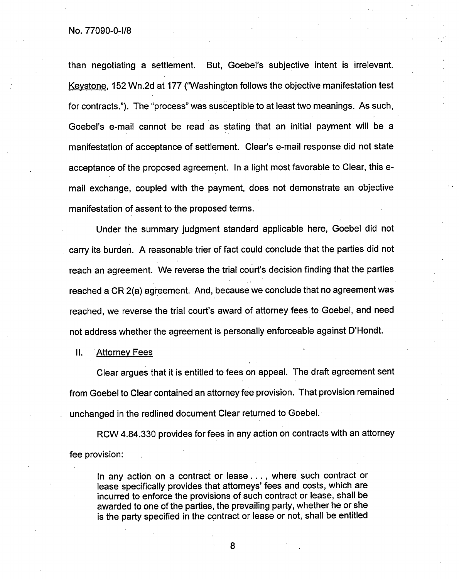No. 77090-0-1/8

than negotiating a settlement. But, Goebel's subjective intent is irrelevant. Keystone,152 Wn.2d at 177 ("Washington follows the objective manifestation test for contracts."). The "process" was susceptible to at least two meanings. As such, Goebel's e-mail cannot be read as stating that an initial payment will be a manifestation of acceptance of settlement. Clear's e-mail response did not state acceptance of the proposed agreement. In a light most favorable to Clear, this email exchange, coupled with the payment, does not demonstrate an objective manifestation of assent to the proposed terms.

Under the summary judgment standard applicable here, Goebel did not carry its burden. A reasonable trier of fact could conclude that the parties did not reach an agreement. We reverse the trial court's decision finding that the parties reached a CR 2(a) agreement. And, because we conclude that no agreement was reached, we reverse the trial court's award of attorney fees to Goebel, and need not address whether the agreement is personally enforceable against D'Hondt.

II. Attorney Fees

Clear argues that it is entitled to fees on appeal. The draft agreement sent from Goebel to Clear contained an attorney fee provision. That provision remained unchanged in the redlined document Clear returned to Goebel.

RCW 4.84.330 provides for fees in any action on contracts with an attorney fee provision:

In any action on a contract or lease . . . , where such contract or lease specifically provides that attorneys' fees and costs, which are incurred to enforce the provisions of such contract or lease, shall be awarded to one of the parties, the prevailing party, whether he or she is the party specified in the contract or lease or not, shall be entitled